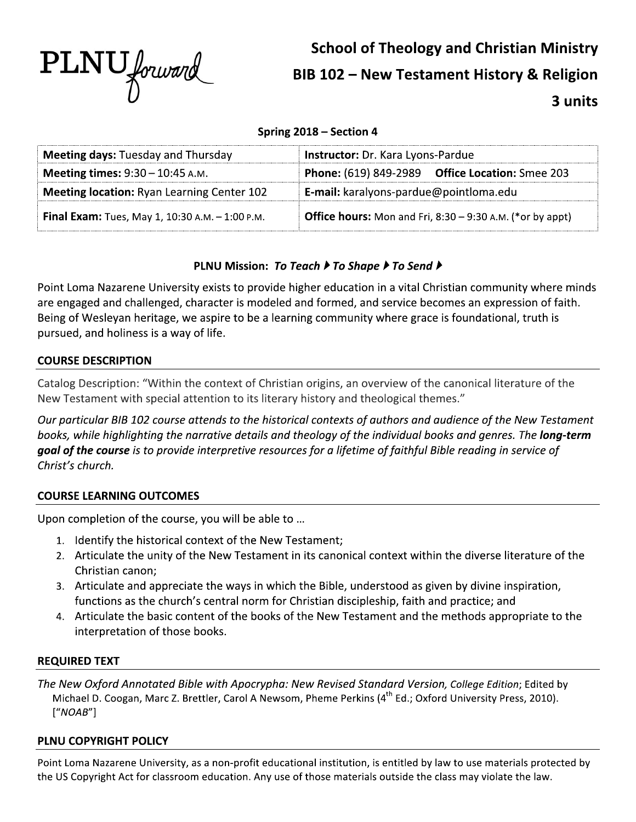

# **School of Theology and Christian Ministry BIB 102 - New Testament History & Religion** 3 units

## Spring 2018 - Section 4

| <b>Meeting days: Tuesday and Thursday</b>                                                   | Instructor: Dr. Kara Lyons-Pardue                                |  |
|---------------------------------------------------------------------------------------------|------------------------------------------------------------------|--|
| <b>Meeting times:</b> $9:30 - 10:45$ A.M.                                                   | <b>Phone:</b> (619) 849-2989 Office Location: Smee 203           |  |
| <b>Meeting location:</b> Ryan Learning Center 102<br>E-mail: karalyons-pardue@pointloma.edu |                                                                  |  |
| <b>Final Exam:</b> Tues, May 1, 10:30 A.M. $-$ 1:00 P.M.                                    | <b>Office hours:</b> Mon and Fri, 8:30 – 9:30 A.M. (*or by appt) |  |

## PLNU Mission: To Teach ▶ To Shape ▶ To Send ▶

Point Loma Nazarene University exists to provide higher education in a vital Christian community where minds are engaged and challenged, character is modeled and formed, and service becomes an expression of faith. Being of Wesleyan heritage, we aspire to be a learning community where grace is foundational, truth is pursued, and holiness is a way of life.

## **COURSE DESCRIPTION**

Catalog Description: "Within the context of Christian origins, an overview of the canonical literature of the New Testament with special attention to its literary history and theological themes."

Our particular BIB 102 course attends to the historical contexts of authors and audience of the New Testament books, while highlighting the narrative details and theology of the individual books and genres. The **long-term** goal of the course is to provide interpretive resources for a lifetime of faithful Bible reading in service of Christ's church.

## **COURSE LEARNING OUTCOMES**

Upon completion of the course, you will be able to ...

- 1. Identify the historical context of the New Testament;
- 2. Articulate the unity of the New Testament in its canonical context within the diverse literature of the Christian canon;
- 3. Articulate and appreciate the ways in which the Bible, understood as given by divine inspiration, functions as the church's central norm for Christian discipleship, faith and practice; and
- 4. Articulate the basic content of the books of the New Testament and the methods appropriate to the interpretation of those books.

## **REQUIRED TEXT**

The New Oxford Annotated Bible with Apocrypha: New Revised Standard Version, College Edition; Edited by Michael D. Coogan, Marc Z. Brettler, Carol A Newsom, Pheme Perkins (4<sup>th</sup> Ed.; Oxford University Press, 2010).  $["NOAB"]$ 

## PLNU COPYRIGHT POLICY

Point Loma Nazarene University, as a non-profit educational institution, is entitled by law to use materials protected by the US Copyright Act for classroom education. Any use of those materials outside the class may violate the law.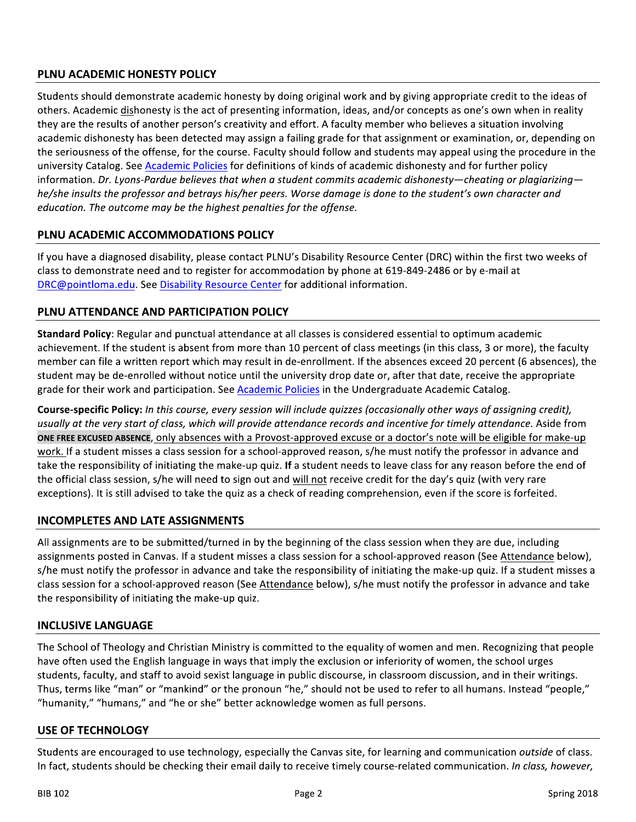# PLNU ACADEMIC HONESTY POLICY

Students should demonstrate academic honesty by doing original work and by giving appropriate credit to the ideas of others. Academic dishonesty is the act of presenting information, ideas, and/or concepts as one's own when in reality they are the results of another person's creativity and effort. A faculty member who believes a situation involving academic dishonesty has been detected may assign a failing grade for that assignment or examination, or, depending on the seriousness of the offense, for the course. Faculty should follow and students may appeal using the procedure in the university Catalog. See Academic Policies for definitions of kinds of academic dishonesty and for further policy information. Dr. Lyons-Pardue believes that when a student commits academic dishonesty—cheating or plagiarizing he/she insults the professor and betrays his/her peers. Worse damage is done to the student's own character and education. The outcome may be the highest penalties for the offense.

## PLNU ACADEMIC ACCOMMODATIONS POLICY

If you have a diagnosed disability, please contact PLNU's Disability Resource Center (DRC) within the first two weeks of class to demonstrate need and to register for accommodation by phone at 619-849-2486 or by e-mail at DRC@pointloma.edu. See Disability Resource Center for additional information.

## PLNU ATTENDANCE AND PARTICIPATION POLICY

Standard Policy: Regular and punctual attendance at all classes is considered essential to optimum academic achievement. If the student is absent from more than 10 percent of class meetings (in this class, 3 or more), the faculty member can file a written report which may result in de-enrollment. If the absences exceed 20 percent (6 absences), the student may be de-enrolled without notice until the university drop date or, after that date, receive the appropriate grade for their work and participation. See Academic Policies in the Undergraduate Academic Catalog.

Course-specific Policy: In this course, every session will include quizzes (occasionally other ways of assigning credit), usually at the very start of class, which will provide attendance records and incentive for timely attendance. Aside from ONE FREE EXCUSED ABSENCE, only absences with a Provost-approved excuse or a doctor's note will be eligible for make-up work. If a student misses a class session for a school-approved reason, s/he must notify the professor in advance and take the responsibility of initiating the make-up quiz. If a student needs to leave class for any reason before the end of the official class session, s/he will need to sign out and will not receive credit for the day's quiz (with very rare exceptions). It is still advised to take the quiz as a check of reading comprehension, even if the score is forfeited.

## **INCOMPLETES AND LATE ASSIGNMENTS**

All assignments are to be submitted/turned in by the beginning of the class session when they are due, including assignments posted in Canvas. If a student misses a class session for a school-approved reason (See Attendance below), s/he must notify the professor in advance and take the responsibility of initiating the make-up quiz. If a student misses a class session for a school-approved reason (See Attendance below), s/he must notify the professor in advance and take the responsibility of initiating the make-up quiz.

## **INCLUSIVE LANGUAGE**

The School of Theology and Christian Ministry is committed to the equality of women and men. Recognizing that people have often used the English language in ways that imply the exclusion or inferiority of women, the school urges students, faculty, and staff to avoid sexist language in public discourse, in classroom discussion, and in their writings. Thus, terms like "man" or "mankind" or the pronoun "he," should not be used to refer to all humans. Instead "people," "humanity," "humans," and "he or she" better acknowledge women as full persons.

#### **USE OF TECHNOLOGY**

Students are encouraged to use technology, especially the Canvas site, for learning and communication outside of class. In fact, students should be checking their email daily to receive timely course-related communication. In class, however,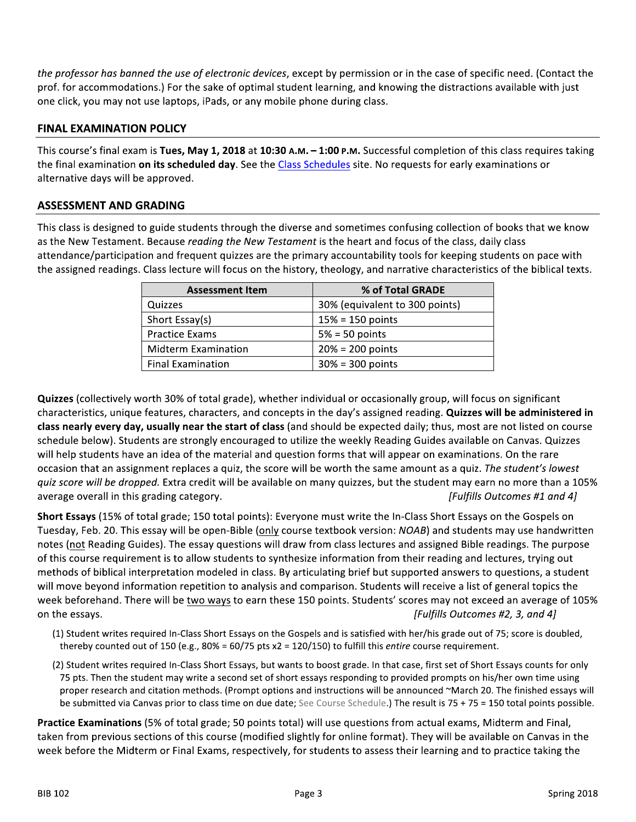the professor has banned the use of electronic devices, except by permission or in the case of specific need. (Contact the prof. for accommodations.) For the sake of optimal student learning, and knowing the distractions available with just one click, you may not use laptops, iPads, or any mobile phone during class.

## **FINAL EXAMINATION POLICY**

This course's final exam is Tues, May 1, 2018 at 10:30 A.M. -1:00 P.M. Successful completion of this class requires taking the final examination on its scheduled day. See the Class Schedules site. No requests for early examinations or alternative days will be approved.

#### **ASSESSMENT AND GRADING**

This class is designed to guide students through the diverse and sometimes confusing collection of books that we know as the New Testament. Because reading the New Testament is the heart and focus of the class, daily class attendance/participation and frequent quizzes are the primary accountability tools for keeping students on pace with the assigned readings. Class lecture will focus on the history, theology, and narrative characteristics of the biblical texts.

| <b>Assessment Item</b>     | % of Total GRADE               |
|----------------------------|--------------------------------|
| Quizzes                    | 30% (equivalent to 300 points) |
| Short Essay(s)             | $15% = 150$ points             |
| <b>Practice Exams</b>      | $5% = 50$ points               |
| <b>Midterm Examination</b> | $20% = 200$ points             |
| <b>Final Examination</b>   | $30\% = 300$ points            |

Quizzes (collectively worth 30% of total grade), whether individual or occasionally group, will focus on significant characteristics, unique features, characters, and concepts in the day's assigned reading. Quizzes will be administered in class nearly every day, usually near the start of class (and should be expected daily; thus, most are not listed on course schedule below). Students are strongly encouraged to utilize the weekly Reading Guides available on Canvas. Quizzes will help students have an idea of the material and question forms that will appear on examinations. On the rare occasion that an assignment replaces a quiz, the score will be worth the same amount as a quiz. The student's lowest quiz score will be dropped. Extra credit will be available on many quizzes, but the student may earn no more than a 105% average overall in this grading category. [Fulfills Outcomes #1 and 4]

Short Essays (15% of total grade; 150 total points): Everyone must write the In-Class Short Essays on the Gospels on Tuesday, Feb. 20. This essay will be open-Bible (only course textbook version: NOAB) and students may use handwritten notes (not Reading Guides). The essay questions will draw from class lectures and assigned Bible readings. The purpose of this course requirement is to allow students to synthesize information from their reading and lectures, trying out methods of biblical interpretation modeled in class. By articulating brief but supported answers to questions, a student will move beyond information repetition to analysis and comparison. Students will receive a list of general topics the week beforehand. There will be two ways to earn these 150 points. Students' scores may not exceed an average of 105% on the essays. [Fulfills Outcomes #2, 3, and 4]

- (1) Student writes required In-Class Short Essays on the Gospels and is satisfied with her/his grade out of 75; score is doubled, thereby counted out of 150 (e.g., 80% = 60/75 pts  $x2 = 120/150$ ) to fulfill this *entire* course requirement.
- (2) Student writes required In-Class Short Essays, but wants to boost grade. In that case, first set of Short Essays counts for only 75 pts. Then the student may write a second set of short essays responding to provided prompts on his/her own time using proper research and citation methods. (Prompt options and instructions will be announced ~March 20. The finished essays will be submitted via Canvas prior to class time on due date; See Course Schedule.) The result is 75 + 75 = 150 total points possible.

Practice Examinations (5% of total grade; 50 points total) will use questions from actual exams, Midterm and Final, taken from previous sections of this course (modified slightly for online format). They will be available on Canvas in the week before the Midterm or Final Exams, respectively, for students to assess their learning and to practice taking the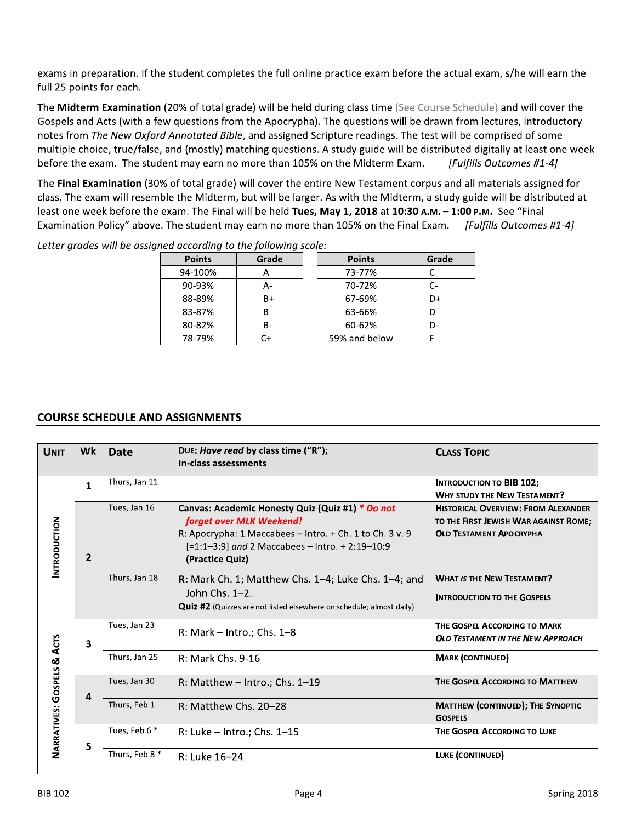exams in preparation. If the student completes the full online practice exam before the actual exam, s/he will earn the full 25 points for each.

The Midterm Examination (20% of total grade) will be held during class time (See Course Schedule) and will cover the Gospels and Acts (with a few questions from the Apocrypha). The questions will be drawn from lectures, introductory notes from The New Oxford Annotated Bible, and assigned Scripture readings. The test will be comprised of some multiple choice, true/false, and (mostly) matching questions. A study guide will be distributed digitally at least one week before the exam. The student may earn no more than 105% on the Midterm Exam. [Fulfills Outcomes #1-4]

The Final Examination (30% of total grade) will cover the entire New Testament corpus and all materials assigned for class. The exam will resemble the Midterm, but will be larger. As with the Midterm, a study guide will be distributed at least one week before the exam. The Final will be held Tues, May 1, 2018 at 10:30 A.M. - 1:00 P.M. See "Final Examination Policy" above. The student may earn no more than 105% on the Final Exam. [Fulfills Outcomes #1-4]

| <b>Points</b> | Grade | <b>Points</b> | Grade |
|---------------|-------|---------------|-------|
| 94-100%       |       | 73-77%        |       |
| 90-93%        | А-    | 70-72%        |       |
| 88-89%        | B+    | 67-69%        | D+    |
| 83-87%        | R     | 63-66%        |       |
| 80-82%        | в-    | 60-62%        |       |
| 78-79%        | C+    | 59% and below |       |

Letter grades will be assigned according to the following scale:

## **COURSE SCHEDULE AND ASSIGNMENTS**

| <b>UNIT</b>                | Wk           | <b>Date</b>    | DUE: Have read by class time ("R");<br>In-class assessments                                                                                                                                                    | <b>CLASS TOPIC</b>                                                                                                    |
|----------------------------|--------------|----------------|----------------------------------------------------------------------------------------------------------------------------------------------------------------------------------------------------------------|-----------------------------------------------------------------------------------------------------------------------|
|                            | $\mathbf{1}$ | Thurs, Jan 11  |                                                                                                                                                                                                                | <b>INTRODUCTION TO BIB 102;</b><br><b>WHY STUDY THE NEW TESTAMENT?</b>                                                |
| <b>INTRODUCTION</b>        | $\mathbf{2}$ | Tues, Jan 16   | Canvas: Academic Honesty Quiz (Quiz #1) * Do not<br>forget over MLK Weekend!<br>R: Apocrypha: 1 Maccabees - Intro. + Ch. 1 to Ch. 3 v. 9<br>[=1:1-3:9] and 2 Maccabees - Intro. + 2:19-10:9<br>(Practice Quiz) | <b>HISTORICAL OVERVIEW: FROM ALEXANDER</b><br>TO THE FIRST JEWISH WAR AGAINST ROME:<br><b>OLD TESTAMENT APOCRYPHA</b> |
|                            |              | Thurs, Jan 18  | <b>R:</b> Mark Ch. 1; Matthew Chs. $1-4$ ; Luke Chs. $1-4$ ; and<br>John Chs. $1-2$ .<br><b>Quiz #2</b> (Quizzes are not listed elsewhere on schedule; almost daily)                                           | <b>WHAT IS THE NEW TESTAMENT?</b><br><b>INTRODUCTION TO THE GOSPELS</b>                                               |
|                            | 3            | Tues, Jan 23   | $R: Mark - Intro.; Chs. 1–8$                                                                                                                                                                                   | THE GOSPEL ACCORDING TO MARK<br><b>OLD TESTAMENT IN THE NEW APPROACH</b>                                              |
|                            |              | Thurs, Jan 25  | R: Mark Chs. 9-16                                                                                                                                                                                              | <b>MARK (CONTINUED)</b>                                                                                               |
|                            | 4            | Tues, Jan 30   | R: Matthew - Intro.; Chs. 1-19                                                                                                                                                                                 | THE GOSPEL ACCORDING TO MATTHEW                                                                                       |
| NARRATIVES: GOSPELS & ACTS |              | Thurs, Feb 1   | R: Matthew Chs. 20-28                                                                                                                                                                                          | <b>MATTHEW (CONTINUED); THE SYNOPTIC</b><br><b>GOSPELS</b>                                                            |
|                            | 5            | Tues, Feb 6 *  | R: Luke - Intro.; Chs. 1-15                                                                                                                                                                                    | THE GOSPEL ACCORDING TO LUKE                                                                                          |
|                            |              | Thurs, Feb 8 * | R: Luke 16-24                                                                                                                                                                                                  | LUKE (CONTINUED)                                                                                                      |